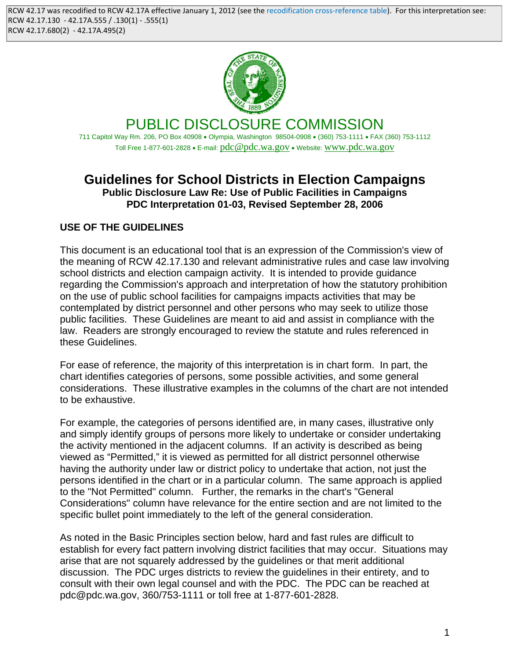

PUBLIC DISCLOSURE COMMISSION 711 Capitol Way Rm. 206, PO Box 40908 • Olympia, Washington 98504-0908 • (360) 753-1111 • FAX (360) 753-1112 Toll Free 1-877-601-2828 • E-mail: pdc@pdc.wa.gov • Website: www.pdc.wa.gov

## **Guidelines for School Districts in Election Campaigns Public Disclosure Law Re: Use of Public Facilities in Campaigns PDC Interpretation 01-03, Revised September 28, 2006**

# **USE OF THE GUIDELINES**

This document is an educational tool that is an expression of the Commission's view of the meaning of RCW 42.17.130 and relevant administrative rules and case law involving school districts and election campaign activity. It is intended to provide guidance regarding the Commission's approach and interpretation of how the statutory prohibition on the use of public school facilities for campaigns impacts activities that may be contemplated by district personnel and other persons who may seek to utilize those public facilities. These Guidelines are meant to aid and assist in compliance with the law. Readers are strongly encouraged to review the statute and rules referenced in these Guidelines.

For ease of reference, the majority of this interpretation is in chart form. In part, the chart identifies categories of persons, some possible activities, and some general considerations. These illustrative examples in the columns of the chart are not intended to be exhaustive.

For example, the categories of persons identified are, in many cases, illustrative only and simply identify groups of persons more likely to undertake or consider undertaking the activity mentioned in the adjacent columns. If an activity is described as being viewed as "Permitted," it is viewed as permitted for all district personnel otherwise having the authority under law or district policy to undertake that action, not just the persons identified in the chart or in a particular column. The same approach is applied to the "Not Permitted" column. Further, the remarks in the chart's "General Considerations" column have relevance for the entire section and are not limited to the specific bullet point immediately to the left of the general consideration.

As noted in the Basic Principles section below, hard and fast rules are difficult to establish for every fact pattern involving district facilities that may occur. Situations may arise that are not squarely addressed by the guidelines or that merit additional discussion. The PDC urges districts to review the guidelines in their entirety, and to consult with their own legal counsel and with the PDC. The PDC can be reached at pdc@pdc.wa.gov, 360/753-1111 or toll free at 1-877-601-2828.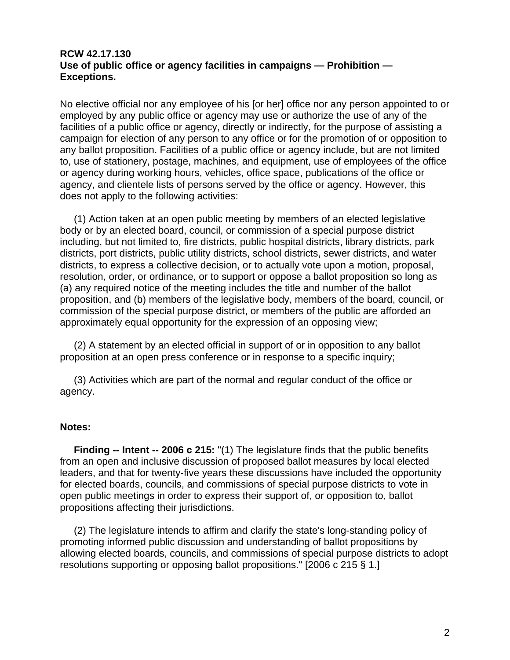#### **RCW 42.17.130 Use of public office or agency facilities in campaigns — Prohibition — Exceptions.**

No elective official nor any employee of his [or her] office nor any person appointed to or employed by any public office or agency may use or authorize the use of any of the facilities of a public office or agency, directly or indirectly, for the purpose of assisting a campaign for election of any person to any office or for the promotion of or opposition to any ballot proposition. Facilities of a public office or agency include, but are not limited to, use of stationery, postage, machines, and equipment, use of employees of the office or agency during working hours, vehicles, office space, publications of the office or agency, and clientele lists of persons served by the office or agency. However, this does not apply to the following activities:

 (1) Action taken at an open public meeting by members of an elected legislative body or by an elected board, council, or commission of a special purpose district including, but not limited to, fire districts, public hospital districts, library districts, park districts, port districts, public utility districts, school districts, sewer districts, and water districts, to express a collective decision, or to actually vote upon a motion, proposal, resolution, order, or ordinance, or to support or oppose a ballot proposition so long as (a) any required notice of the meeting includes the title and number of the ballot proposition, and (b) members of the legislative body, members of the board, council, or commission of the special purpose district, or members of the public are afforded an approximately equal opportunity for the expression of an opposing view;

 (2) A statement by an elected official in support of or in opposition to any ballot proposition at an open press conference or in response to a specific inquiry;

 (3) Activities which are part of the normal and regular conduct of the office or agency.

#### **Notes:**

 **Finding -- Intent -- 2006 c 215:** "(1) The legislature finds that the public benefits from an open and inclusive discussion of proposed ballot measures by local elected leaders, and that for twenty-five years these discussions have included the opportunity for elected boards, councils, and commissions of special purpose districts to vote in open public meetings in order to express their support of, or opposition to, ballot propositions affecting their jurisdictions.

 (2) The legislature intends to affirm and clarify the state's long-standing policy of promoting informed public discussion and understanding of ballot propositions by allowing elected boards, councils, and commissions of special purpose districts to adopt resolutions supporting or opposing ballot propositions." [2006 c 215 § 1.]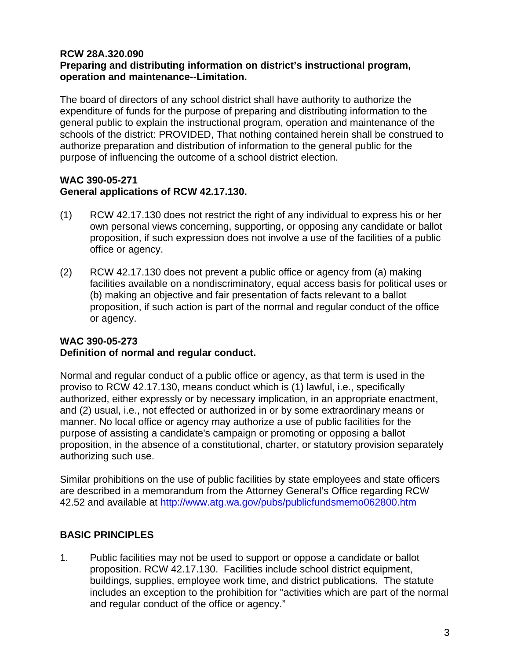#### **RCW 28A.320.090 Preparing and distributing information on district's instructional program, operation and maintenance--Limitation.**

The board of directors of any school district shall have authority to authorize the expenditure of funds for the purpose of preparing and distributing information to the general public to explain the instructional program, operation and maintenance of the schools of the district: PROVIDED, That nothing contained herein shall be construed to authorize preparation and distribution of information to the general public for the purpose of influencing the outcome of a school district election.

### **WAC 390-05-271 General applications of RCW 42.17.130.**

- (1) RCW 42.17.130 does not restrict the right of any individual to express his or her own personal views concerning, supporting, or opposing any candidate or ballot proposition, if such expression does not involve a use of the facilities of a public office or agency.
- (2) RCW 42.17.130 does not prevent a public office or agency from (a) making facilities available on a nondiscriminatory, equal access basis for political uses or (b) making an objective and fair presentation of facts relevant to a ballot proposition, if such action is part of the normal and regular conduct of the office or agency.

### **WAC 390-05-273 Definition of normal and regular conduct.**

Normal and regular conduct of a public office or agency, as that term is used in the proviso to RCW 42.17.130, means conduct which is (1) lawful, i.e., specifically authorized, either expressly or by necessary implication, in an appropriate enactment, and (2) usual, i.e., not effected or authorized in or by some extraordinary means or manner. No local office or agency may authorize a use of public facilities for the purpose of assisting a candidate's campaign or promoting or opposing a ballot proposition, in the absence of a constitutional, charter, or statutory provision separately authorizing such use.

Similar prohibitions on the use of public facilities by state employees and state officers are described in a memorandum from the Attorney General's Office regarding RCW 42.52 and available at http://www.atg.wa.gov/pubs/publicfundsmemo062800.htm

### **BASIC PRINCIPLES**

1. Public facilities may not be used to support or oppose a candidate or ballot proposition. RCW 42.17.130. Facilities include school district equipment, buildings, supplies, employee work time, and district publications. The statute includes an exception to the prohibition for "activities which are part of the normal and regular conduct of the office or agency."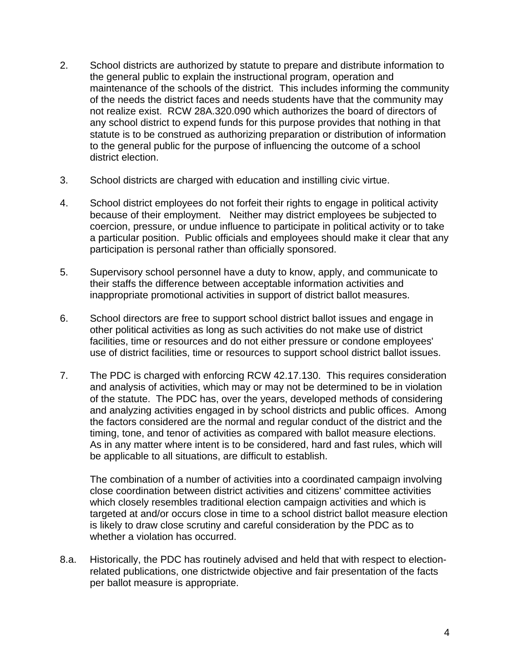- 2. School districts are authorized by statute to prepare and distribute information to the general public to explain the instructional program, operation and maintenance of the schools of the district. This includes informing the community of the needs the district faces and needs students have that the community may not realize exist. RCW 28A.320.090 which authorizes the board of directors of any school district to expend funds for this purpose provides that nothing in that statute is to be construed as authorizing preparation or distribution of information to the general public for the purpose of influencing the outcome of a school district election.
- 3. School districts are charged with education and instilling civic virtue.
- 4. School district employees do not forfeit their rights to engage in political activity because of their employment. Neither may district employees be subjected to coercion, pressure, or undue influence to participate in political activity or to take a particular position. Public officials and employees should make it clear that any participation is personal rather than officially sponsored.
- 5. Supervisory school personnel have a duty to know, apply, and communicate to their staffs the difference between acceptable information activities and inappropriate promotional activities in support of district ballot measures.
- 6. School directors are free to support school district ballot issues and engage in other political activities as long as such activities do not make use of district facilities, time or resources and do not either pressure or condone employees' use of district facilities, time or resources to support school district ballot issues.
- 7. The PDC is charged with enforcing RCW 42.17.130. This requires consideration and analysis of activities, which may or may not be determined to be in violation of the statute. The PDC has, over the years, developed methods of considering and analyzing activities engaged in by school districts and public offices. Among the factors considered are the normal and regular conduct of the district and the timing, tone, and tenor of activities as compared with ballot measure elections. As in any matter where intent is to be considered, hard and fast rules, which will be applicable to all situations, are difficult to establish.

The combination of a number of activities into a coordinated campaign involving close coordination between district activities and citizens' committee activities which closely resembles traditional election campaign activities and which is targeted at and/or occurs close in time to a school district ballot measure election is likely to draw close scrutiny and careful consideration by the PDC as to whether a violation has occurred.

8.a. Historically, the PDC has routinely advised and held that with respect to electionrelated publications, one districtwide objective and fair presentation of the facts per ballot measure is appropriate.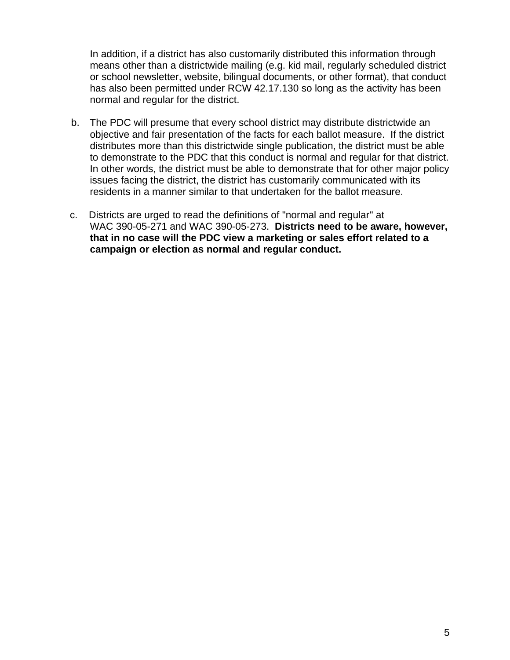In addition, if a district has also customarily distributed this information through means other than a districtwide mailing (e.g. kid mail, regularly scheduled district or school newsletter, website, bilingual documents, or other format), that conduct has also been permitted under RCW 42.17.130 so long as the activity has been normal and regular for the district.

- b. The PDC will presume that every school district may distribute districtwide an objective and fair presentation of the facts for each ballot measure. If the district distributes more than this districtwide single publication, the district must be able to demonstrate to the PDC that this conduct is normal and regular for that district. In other words, the district must be able to demonstrate that for other major policy issues facing the district, the district has customarily communicated with its residents in a manner similar to that undertaken for the ballot measure.
- c. Districts are urged to read the definitions of "normal and regular" at WAC 390-05-271 and WAC 390-05-273. **Districts need to be aware, however, that in no case will the PDC view a marketing or sales effort related to a campaign or election as normal and regular conduct.**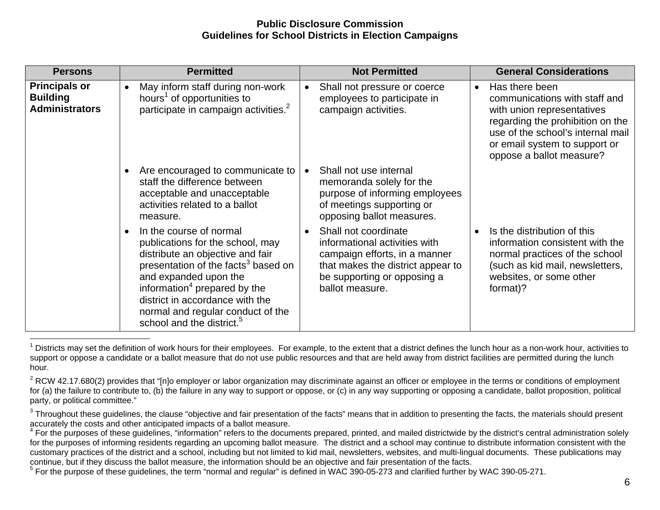| <b>Persons</b>                                                   | <b>Permitted</b>                                                                                                                                                                                                                                                                                                                                      | <b>Not Permitted</b>                                                                                                                                                          | <b>General Considerations</b>                                                                                                                                                                                                    |
|------------------------------------------------------------------|-------------------------------------------------------------------------------------------------------------------------------------------------------------------------------------------------------------------------------------------------------------------------------------------------------------------------------------------------------|-------------------------------------------------------------------------------------------------------------------------------------------------------------------------------|----------------------------------------------------------------------------------------------------------------------------------------------------------------------------------------------------------------------------------|
| <b>Principals or</b><br><b>Building</b><br><b>Administrators</b> | May inform staff during non-work<br>$\bullet$<br>hours <sup>1</sup> of opportunities to<br>participate in campaign activities. <sup>2</sup>                                                                                                                                                                                                           | Shall not pressure or coerce<br>employees to participate in<br>campaign activities.                                                                                           | Has there been<br>$\bullet$<br>communications with staff and<br>with union representatives<br>regarding the prohibition on the<br>use of the school's internal mail<br>or email system to support or<br>oppose a ballot measure? |
|                                                                  | Are encouraged to communicate to<br>staff the difference between<br>acceptable and unacceptable<br>activities related to a ballot<br>measure.                                                                                                                                                                                                         | Shall not use internal<br>memoranda solely for the<br>purpose of informing employees<br>of meetings supporting or<br>opposing ballot measures.                                |                                                                                                                                                                                                                                  |
|                                                                  | In the course of normal<br>$\bullet$<br>publications for the school, may<br>distribute an objective and fair<br>presentation of the facts <sup>3</sup> based on<br>and expanded upon the<br>information <sup>4</sup> prepared by the<br>district in accordance with the<br>normal and regular conduct of the<br>school and the district. <sup>5</sup> | Shall not coordinate<br>informational activities with<br>campaign efforts, in a manner<br>that makes the district appear to<br>be supporting or opposing a<br>ballot measure. | Is the distribution of this<br>information consistent with the<br>normal practices of the school<br>(such as kid mail, newsletters,<br>websites, or some other<br>format)?                                                       |

 $<sup>1</sup>$  Districts may set the definition of work hours for their employees. For example, to the extent that a district defines the lunch hour as a non-work hour, activities to</sup> support or oppose a candidate or a ballot measure that do not use public resources and that are held away from district facilities are permitted during the lunch hour.

<sup>&</sup>lt;sup>2</sup> RCW 42.17.680(2) provides that "[n]o employer or labor organization may discriminate against an officer or employee in the terms or conditions of employment for (a) the failure to contribute to, (b) the failure in any way to support or oppose, or (c) in any way supporting or opposing a candidate, ballot proposition, political party, or political committee."

 $3$  Throughout these guidelines, the clause "objective and fair presentation of the facts" means that in addition to presenting the facts, the materials should present accurately the costs and other anticipated impacts of a ballot measure.<br><sup>4</sup> For the purposes of these quidelines, "information" refers to the documents prepared, printed, and mailed districtwide by the district's central a

for the purposes of informing residents regarding an upcoming ballot measure. The district and a school may continue to distribute information consistent with the customary practices of the district and a school, including but not limited to kid mail, newsletters, websites, and multi-lingual documents. These publications may continue, but if they discuss the ballot measure, the information should be an objective and fair presentation of the facts.<br><sup>5</sup> For the purpose of these guidelines, the term "normal and regular" is defined in WAC 390-05-2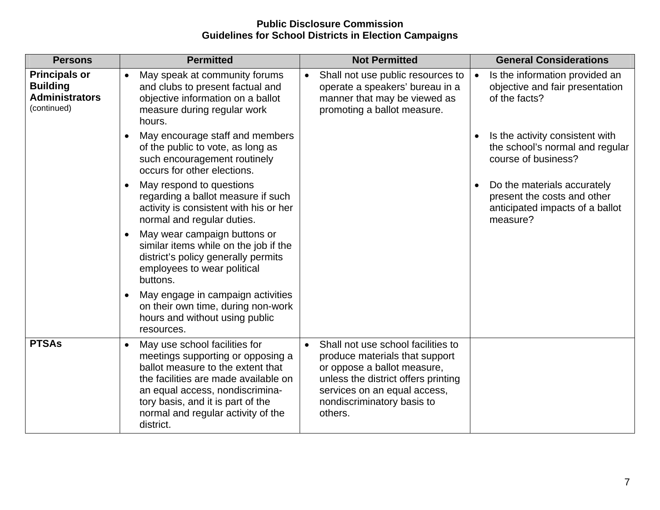| <b>Persons</b>                                                                  | <b>Permitted</b>                                                                                                                                                                                                                                                                        | <b>Not Permitted</b>                                                                                                                                                                                                             | <b>General Considerations</b>                                                                                          |
|---------------------------------------------------------------------------------|-----------------------------------------------------------------------------------------------------------------------------------------------------------------------------------------------------------------------------------------------------------------------------------------|----------------------------------------------------------------------------------------------------------------------------------------------------------------------------------------------------------------------------------|------------------------------------------------------------------------------------------------------------------------|
| <b>Principals or</b><br><b>Building</b><br><b>Administrators</b><br>(continued) | May speak at community forums<br>$\bullet$<br>and clubs to present factual and<br>objective information on a ballot<br>measure during regular work<br>hours.                                                                                                                            | Shall not use public resources to<br>$\bullet$<br>operate a speakers' bureau in a<br>manner that may be viewed as<br>promoting a ballot measure.                                                                                 | Is the information provided an<br>$\bullet$<br>objective and fair presentation<br>of the facts?                        |
|                                                                                 | May encourage staff and members<br>$\bullet$<br>of the public to vote, as long as<br>such encouragement routinely<br>occurs for other elections.                                                                                                                                        |                                                                                                                                                                                                                                  | Is the activity consistent with<br>$\bullet$<br>the school's normal and regular<br>course of business?                 |
|                                                                                 | May respond to questions<br>$\bullet$<br>regarding a ballot measure if such<br>activity is consistent with his or her<br>normal and regular duties.                                                                                                                                     |                                                                                                                                                                                                                                  | Do the materials accurately<br>$\bullet$<br>present the costs and other<br>anticipated impacts of a ballot<br>measure? |
|                                                                                 | May wear campaign buttons or<br>$\bullet$<br>similar items while on the job if the<br>district's policy generally permits<br>employees to wear political<br>buttons.                                                                                                                    |                                                                                                                                                                                                                                  |                                                                                                                        |
|                                                                                 | May engage in campaign activities<br>$\bullet$<br>on their own time, during non-work<br>hours and without using public<br>resources.                                                                                                                                                    |                                                                                                                                                                                                                                  |                                                                                                                        |
| <b>PTSAs</b>                                                                    | May use school facilities for<br>$\bullet$<br>meetings supporting or opposing a<br>ballot measure to the extent that<br>the facilities are made available on<br>an equal access, nondiscrimina-<br>tory basis, and it is part of the<br>normal and regular activity of the<br>district. | Shall not use school facilities to<br>$\bullet$<br>produce materials that support<br>or oppose a ballot measure,<br>unless the district offers printing<br>services on an equal access,<br>nondiscriminatory basis to<br>others. |                                                                                                                        |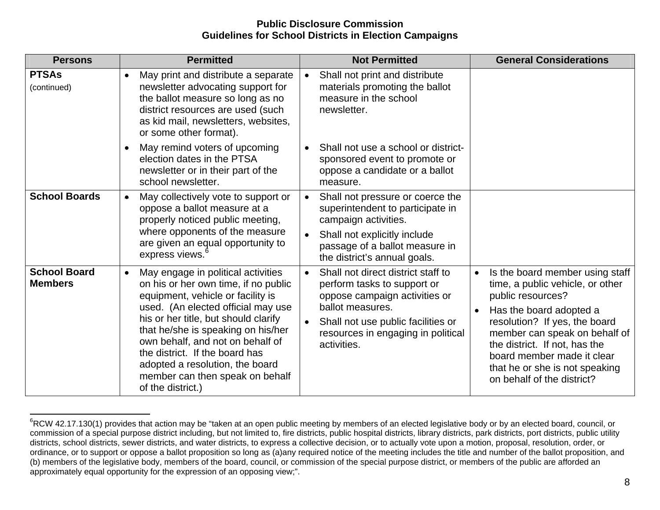| <b>Persons</b>                        | <b>Permitted</b>                                                                                                                                                                                                                                                                                                                                                                                                  | <b>Not Permitted</b>                                                                                                                                                                                                                        | <b>General Considerations</b>                                                                                                                                                                                                                                                                                                     |
|---------------------------------------|-------------------------------------------------------------------------------------------------------------------------------------------------------------------------------------------------------------------------------------------------------------------------------------------------------------------------------------------------------------------------------------------------------------------|---------------------------------------------------------------------------------------------------------------------------------------------------------------------------------------------------------------------------------------------|-----------------------------------------------------------------------------------------------------------------------------------------------------------------------------------------------------------------------------------------------------------------------------------------------------------------------------------|
| <b>PTSAs</b><br>(continued)           | May print and distribute a separate<br>$\bullet$<br>newsletter advocating support for<br>the ballot measure so long as no<br>district resources are used (such<br>as kid mail, newsletters, websites,<br>or some other format).                                                                                                                                                                                   | Shall not print and distribute<br>materials promoting the ballot<br>measure in the school<br>newsletter.                                                                                                                                    |                                                                                                                                                                                                                                                                                                                                   |
|                                       | May remind voters of upcoming<br>$\bullet$<br>election dates in the PTSA<br>newsletter or in their part of the<br>school newsletter.                                                                                                                                                                                                                                                                              | Shall not use a school or district-<br>$\bullet$<br>sponsored event to promote or<br>oppose a candidate or a ballot<br>measure.                                                                                                             |                                                                                                                                                                                                                                                                                                                                   |
| <b>School Boards</b>                  | May collectively vote to support or<br>$\bullet$<br>oppose a ballot measure at a<br>properly noticed public meeting,<br>where opponents of the measure<br>are given an equal opportunity to<br>express views.                                                                                                                                                                                                     | Shall not pressure or coerce the<br>$\bullet$<br>superintendent to participate in<br>campaign activities.<br>Shall not explicitly include<br>$\bullet$<br>passage of a ballot measure in<br>the district's annual goals.                    |                                                                                                                                                                                                                                                                                                                                   |
| <b>School Board</b><br><b>Members</b> | May engage in political activities<br>$\bullet$<br>on his or her own time, if no public<br>equipment, vehicle or facility is<br>used. (An elected official may use<br>his or her title, but should clarify<br>that he/she is speaking on his/her<br>own behalf, and not on behalf of<br>the district. If the board has<br>adopted a resolution, the board<br>member can then speak on behalf<br>of the district.) | Shall not direct district staff to<br>$\bullet$<br>perform tasks to support or<br>oppose campaign activities or<br>ballot measures.<br>Shall not use public facilities or<br>$\bullet$<br>resources in engaging in political<br>activities. | Is the board member using staff<br>time, a public vehicle, or other<br>public resources?<br>Has the board adopted a<br>$\bullet$<br>resolution? If yes, the board<br>member can speak on behalf of<br>the district. If not, has the<br>board member made it clear<br>that he or she is not speaking<br>on behalf of the district? |

<sup>&</sup>lt;sup>6</sup>RCW 42.17.130(1) provides that action may be "taken at an open public meeting by members of an elected legislative body or by an elected board, council, or commission of a special purpose district including, but not limited to, fire districts, public hospital districts, library districts, park districts, port districts, public utility districts, school districts, sewer districts, and water districts, to express a collective decision, or to actually vote upon a motion, proposal, resolution, order, or ordinance, or to support or oppose a ballot proposition so long as (a)any required notice of the meeting includes the title and number of the ballot proposition, and (b) members of the legislative body, members of the board, council, or commission of the special purpose district, or members of the public are afforded an approximately equal opportunity for the expression of an opposing view;".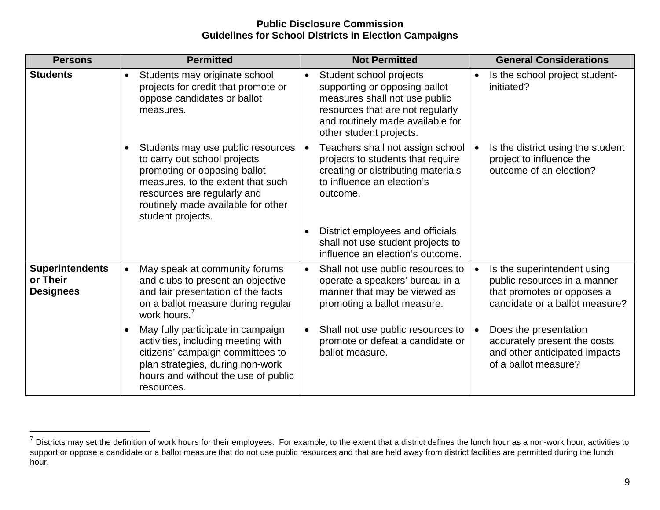| <b>Persons</b>                                         | <b>Permitted</b>                                                                                                                                                                                                                              | <b>Not Permitted</b>                                                                                                                                                                                      | <b>General Considerations</b>                                                                                               |
|--------------------------------------------------------|-----------------------------------------------------------------------------------------------------------------------------------------------------------------------------------------------------------------------------------------------|-----------------------------------------------------------------------------------------------------------------------------------------------------------------------------------------------------------|-----------------------------------------------------------------------------------------------------------------------------|
| <b>Students</b>                                        | Students may originate school<br>$\bullet$<br>projects for credit that promote or<br>oppose candidates or ballot<br>measures.                                                                                                                 | Student school projects<br>$\bullet$<br>supporting or opposing ballot<br>measures shall not use public<br>resources that are not regularly<br>and routinely made available for<br>other student projects. | Is the school project student-<br>initiated?                                                                                |
|                                                        | Students may use public resources<br>$\bullet$<br>to carry out school projects<br>promoting or opposing ballot<br>measures, to the extent that such<br>resources are regularly and<br>routinely made available for other<br>student projects. | Teachers shall not assign school<br>projects to students that require<br>creating or distributing materials<br>to influence an election's<br>outcome.                                                     | Is the district using the student<br>$\bullet$<br>project to influence the<br>outcome of an election?                       |
|                                                        |                                                                                                                                                                                                                                               | District employees and officials<br>$\bullet$<br>shall not use student projects to<br>influence an election's outcome.                                                                                    |                                                                                                                             |
| <b>Superintendents</b><br>or Their<br><b>Designees</b> | May speak at community forums<br>$\bullet$<br>and clubs to present an objective<br>and fair presentation of the facts<br>on a ballot measure during regular<br>work hours. <sup>7</sup>                                                       | Shall not use public resources to<br>$\bullet$<br>operate a speakers' bureau in a<br>manner that may be viewed as<br>promoting a ballot measure.                                                          | Is the superintendent using<br>public resources in a manner<br>that promotes or opposes a<br>candidate or a ballot measure? |
|                                                        | May fully participate in campaign<br>$\bullet$<br>activities, including meeting with<br>citizens' campaign committees to<br>plan strategies, during non-work<br>hours and without the use of public<br>resources.                             | Shall not use public resources to<br>$\bullet$<br>promote or defeat a candidate or<br>ballot measure.                                                                                                     | Does the presentation<br>$\bullet$<br>accurately present the costs<br>and other anticipated impacts<br>of a ballot measure? |

 $^7$  Districts may set the definition of work hours for their employees. For example, to the extent that a district defines the lunch hour as a non-work hour, activities to support or oppose a candidate or a ballot measure that do not use public resources and that are held away from district facilities are permitted during the lunch hour.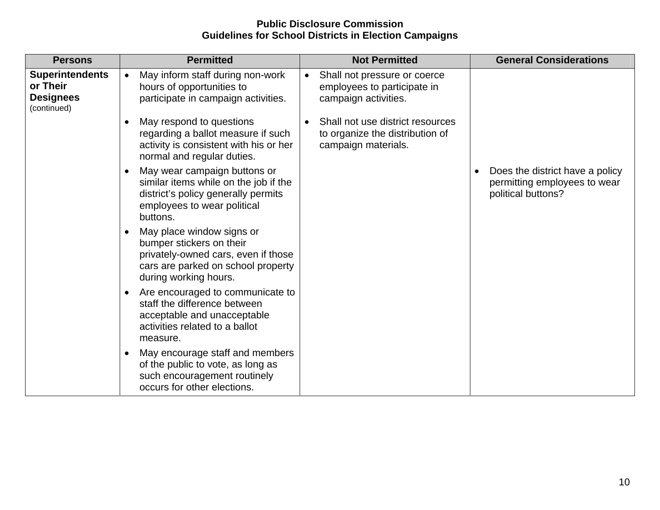| <b>Persons</b>                                                        | <b>Permitted</b>                                                                                                                                                         | <b>Not Permitted</b>                                                                                    | <b>General Considerations</b>                                                         |
|-----------------------------------------------------------------------|--------------------------------------------------------------------------------------------------------------------------------------------------------------------------|---------------------------------------------------------------------------------------------------------|---------------------------------------------------------------------------------------|
| <b>Superintendents</b><br>or Their<br><b>Designees</b><br>(continued) | May inform staff during non-work<br>$\bullet$<br>hours of opportunities to<br>participate in campaign activities.                                                        | Shall not pressure or coerce<br>$\bullet$<br>employees to participate in<br>campaign activities.        |                                                                                       |
|                                                                       | May respond to questions<br>$\bullet$<br>regarding a ballot measure if such<br>activity is consistent with his or her<br>normal and regular duties.                      | Shall not use district resources<br>$\bullet$<br>to organize the distribution of<br>campaign materials. |                                                                                       |
|                                                                       | May wear campaign buttons or<br>$\bullet$<br>similar items while on the job if the<br>district's policy generally permits<br>employees to wear political<br>buttons.     |                                                                                                         | Does the district have a policy<br>permitting employees to wear<br>political buttons? |
|                                                                       | May place window signs or<br>$\bullet$<br>bumper stickers on their<br>privately-owned cars, even if those<br>cars are parked on school property<br>during working hours. |                                                                                                         |                                                                                       |
|                                                                       | Are encouraged to communicate to<br>$\bullet$<br>staff the difference between<br>acceptable and unacceptable<br>activities related to a ballot<br>measure.               |                                                                                                         |                                                                                       |
|                                                                       | May encourage staff and members<br>$\bullet$<br>of the public to vote, as long as<br>such encouragement routinely<br>occurs for other elections.                         |                                                                                                         |                                                                                       |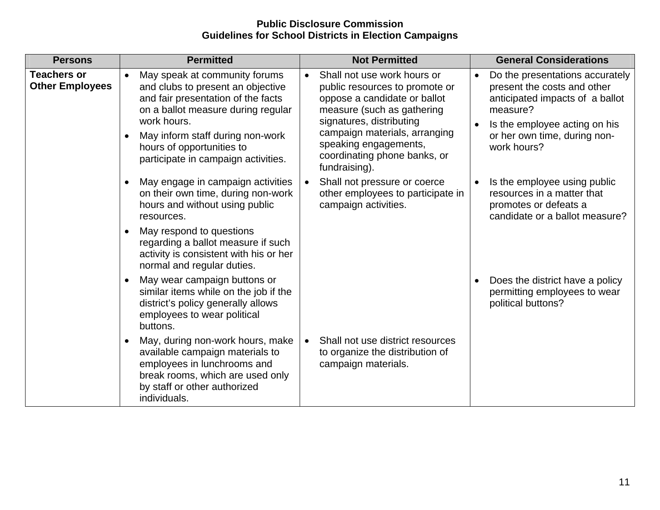| <b>Persons</b>                               | <b>Permitted</b>                                                                                                                                                                                                                                                                                | <b>Not Permitted</b>                                                                                                                                                                                                                                                            | <b>General Considerations</b>                                                                                                                                                                 |
|----------------------------------------------|-------------------------------------------------------------------------------------------------------------------------------------------------------------------------------------------------------------------------------------------------------------------------------------------------|---------------------------------------------------------------------------------------------------------------------------------------------------------------------------------------------------------------------------------------------------------------------------------|-----------------------------------------------------------------------------------------------------------------------------------------------------------------------------------------------|
| <b>Teachers or</b><br><b>Other Employees</b> | May speak at community forums<br>$\bullet$<br>and clubs to present an objective<br>and fair presentation of the facts<br>on a ballot measure during regular<br>work hours.<br>May inform staff during non-work<br>$\bullet$<br>hours of opportunities to<br>participate in campaign activities. | Shall not use work hours or<br>$\bullet$<br>public resources to promote or<br>oppose a candidate or ballot<br>measure (such as gathering<br>signatures, distributing<br>campaign materials, arranging<br>speaking engagements,<br>coordinating phone banks, or<br>fundraising). | Do the presentations accurately<br>present the costs and other<br>anticipated impacts of a ballot<br>measure?<br>Is the employee acting on his<br>or her own time, during non-<br>work hours? |
|                                              | May engage in campaign activities<br>$\bullet$<br>on their own time, during non-work<br>hours and without using public<br>resources.<br>May respond to questions<br>$\bullet$<br>regarding a ballot measure if such<br>activity is consistent with his or her<br>normal and regular duties.     | Shall not pressure or coerce<br>other employees to participate in<br>campaign activities.                                                                                                                                                                                       | Is the employee using public<br>resources in a matter that<br>promotes or defeats a<br>candidate or a ballot measure?                                                                         |
|                                              | May wear campaign buttons or<br>$\bullet$<br>similar items while on the job if the<br>district's policy generally allows<br>employees to wear political<br>buttons.                                                                                                                             |                                                                                                                                                                                                                                                                                 | Does the district have a policy<br>permitting employees to wear<br>political buttons?                                                                                                         |
|                                              | May, during non-work hours, make<br>$\bullet$<br>available campaign materials to<br>employees in lunchrooms and<br>break rooms, which are used only<br>by staff or other authorized<br>individuals.                                                                                             | Shall not use district resources<br>$\bullet$<br>to organize the distribution of<br>campaign materials.                                                                                                                                                                         |                                                                                                                                                                                               |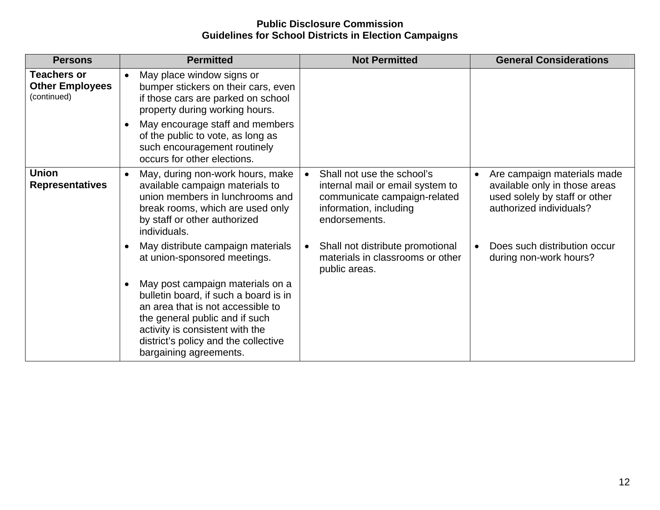| <b>Persons</b>                                              | <b>Permitted</b>                                                                                                                                                                                                                                                   | <b>Not Permitted</b>                                                                                                                      | <b>General Considerations</b>                                                                                                         |
|-------------------------------------------------------------|--------------------------------------------------------------------------------------------------------------------------------------------------------------------------------------------------------------------------------------------------------------------|-------------------------------------------------------------------------------------------------------------------------------------------|---------------------------------------------------------------------------------------------------------------------------------------|
| <b>Teachers or</b><br><b>Other Employees</b><br>(continued) | May place window signs or<br>$\bullet$<br>bumper stickers on their cars, even<br>if those cars are parked on school<br>property during working hours.                                                                                                              |                                                                                                                                           |                                                                                                                                       |
|                                                             | May encourage staff and members<br>$\bullet$<br>of the public to vote, as long as<br>such encouragement routinely<br>occurs for other elections.                                                                                                                   |                                                                                                                                           |                                                                                                                                       |
| <b>Union</b><br><b>Representatives</b>                      | May, during non-work hours, make<br>$\bullet$<br>available campaign materials to<br>union members in lunchrooms and<br>break rooms, which are used only<br>by staff or other authorized<br>individuals.                                                            | Shall not use the school's<br>internal mail or email system to<br>communicate campaign-related<br>information, including<br>endorsements. | Are campaign materials made<br>$\bullet$<br>available only in those areas<br>used solely by staff or other<br>authorized individuals? |
|                                                             | May distribute campaign materials<br>$\bullet$<br>at union-sponsored meetings.                                                                                                                                                                                     | Shall not distribute promotional<br>$\bullet$<br>materials in classrooms or other<br>public areas.                                        | Does such distribution occur<br>$\bullet$<br>during non-work hours?                                                                   |
|                                                             | May post campaign materials on a<br>$\bullet$<br>bulletin board, if such a board is in<br>an area that is not accessible to<br>the general public and if such<br>activity is consistent with the<br>district's policy and the collective<br>bargaining agreements. |                                                                                                                                           |                                                                                                                                       |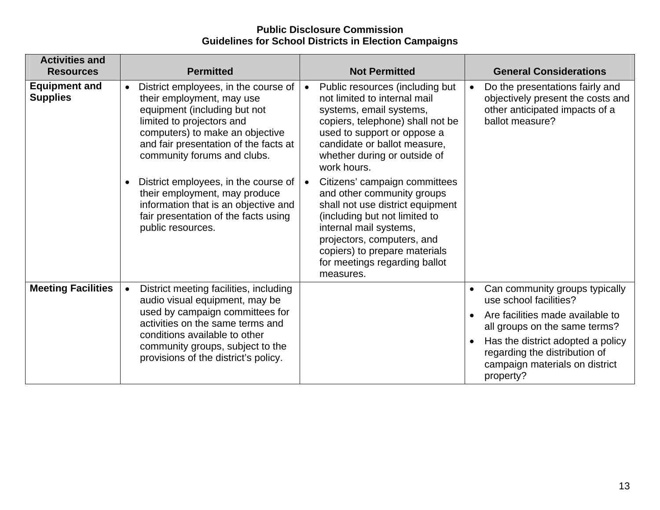| <b>Activities and</b><br><b>Resources</b> | <b>Permitted</b>                                                                                                                                                                                                                                       | <b>Not Permitted</b>                                                                                                                                                                                                                                                                 | <b>General Considerations</b>                                                                                             |
|-------------------------------------------|--------------------------------------------------------------------------------------------------------------------------------------------------------------------------------------------------------------------------------------------------------|--------------------------------------------------------------------------------------------------------------------------------------------------------------------------------------------------------------------------------------------------------------------------------------|---------------------------------------------------------------------------------------------------------------------------|
| <b>Equipment and</b><br><b>Supplies</b>   | District employees, in the course of<br>$\bullet$<br>their employment, may use<br>equipment (including but not<br>limited to projectors and<br>computers) to make an objective<br>and fair presentation of the facts at<br>community forums and clubs. | Public resources (including but<br>not limited to internal mail<br>systems, email systems,<br>copiers, telephone) shall not be<br>used to support or oppose a<br>candidate or ballot measure,<br>whether during or outside of<br>work hours.                                         | Do the presentations fairly and<br>objectively present the costs and<br>other anticipated impacts of a<br>ballot measure? |
|                                           | District employees, in the course of<br>their employment, may produce<br>information that is an objective and<br>fair presentation of the facts using<br>public resources.                                                                             | Citizens' campaign committees<br>$\bullet$<br>and other community groups<br>shall not use district equipment<br>(including but not limited to<br>internal mail systems,<br>projectors, computers, and<br>copiers) to prepare materials<br>for meetings regarding ballot<br>measures. |                                                                                                                           |
| <b>Meeting Facilities</b>                 | District meeting facilities, including<br>audio visual equipment, may be                                                                                                                                                                               |                                                                                                                                                                                                                                                                                      | Can community groups typically<br>$\bullet$<br>use school facilities?                                                     |
|                                           | used by campaign committees for<br>activities on the same terms and                                                                                                                                                                                    |                                                                                                                                                                                                                                                                                      | Are facilities made available to<br>all groups on the same terms?                                                         |
|                                           | conditions available to other<br>community groups, subject to the<br>provisions of the district's policy.                                                                                                                                              |                                                                                                                                                                                                                                                                                      | Has the district adopted a policy<br>regarding the distribution of<br>campaign materials on district<br>property?         |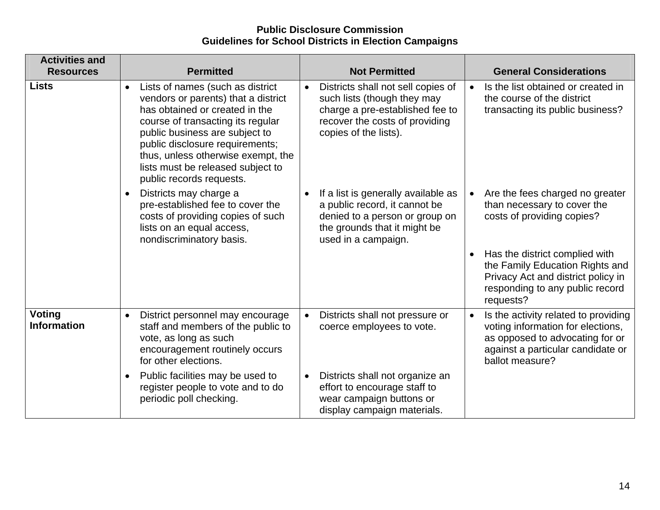| <b>Activities and</b>               |                                                                                                                                                                                                                                                                                                                                         |                                                                                                                                                                              |                                                                                                                                                                                   |
|-------------------------------------|-----------------------------------------------------------------------------------------------------------------------------------------------------------------------------------------------------------------------------------------------------------------------------------------------------------------------------------------|------------------------------------------------------------------------------------------------------------------------------------------------------------------------------|-----------------------------------------------------------------------------------------------------------------------------------------------------------------------------------|
| <b>Resources</b>                    | <b>Permitted</b>                                                                                                                                                                                                                                                                                                                        | <b>Not Permitted</b>                                                                                                                                                         | <b>General Considerations</b>                                                                                                                                                     |
| <b>Lists</b>                        | Lists of names (such as district<br>$\bullet$<br>vendors or parents) that a district<br>has obtained or created in the<br>course of transacting its regular<br>public business are subject to<br>public disclosure requirements;<br>thus, unless otherwise exempt, the<br>lists must be released subject to<br>public records requests. | Districts shall not sell copies of<br>$\bullet$<br>such lists (though they may<br>charge a pre-established fee to<br>recover the costs of providing<br>copies of the lists). | Is the list obtained or created in<br>$\bullet$<br>the course of the district<br>transacting its public business?                                                                 |
|                                     | Districts may charge a<br>$\bullet$<br>pre-established fee to cover the<br>costs of providing copies of such<br>lists on an equal access,<br>nondiscriminatory basis.                                                                                                                                                                   | If a list is generally available as<br>$\bullet$<br>a public record, it cannot be<br>denied to a person or group on<br>the grounds that it might be<br>used in a campaign.   | Are the fees charged no greater<br>than necessary to cover the<br>costs of providing copies?                                                                                      |
|                                     |                                                                                                                                                                                                                                                                                                                                         |                                                                                                                                                                              | Has the district complied with<br>the Family Education Rights and<br>Privacy Act and district policy in<br>responding to any public record<br>requests?                           |
| <b>Voting</b><br><b>Information</b> | District personnel may encourage<br>$\bullet$<br>staff and members of the public to<br>vote, as long as such<br>encouragement routinely occurs<br>for other elections.                                                                                                                                                                  | Districts shall not pressure or<br>$\bullet$<br>coerce employees to vote.                                                                                                    | Is the activity related to providing<br>$\bullet$<br>voting information for elections,<br>as opposed to advocating for or<br>against a particular candidate or<br>ballot measure? |
|                                     | Public facilities may be used to<br>$\bullet$<br>register people to vote and to do<br>periodic poll checking.                                                                                                                                                                                                                           | Districts shall not organize an<br>$\bullet$<br>effort to encourage staff to<br>wear campaign buttons or<br>display campaign materials.                                      |                                                                                                                                                                                   |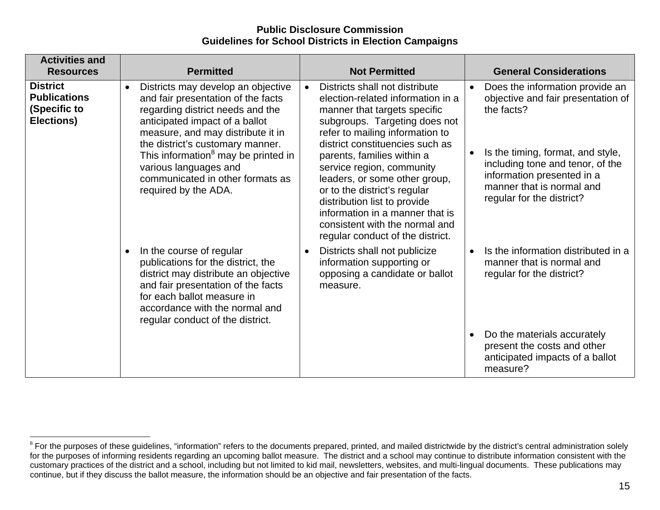| <b>Activities and</b><br><b>Resources</b>                            | <b>Permitted</b>                                                                                                                                                                                                                                                                                                                                                             | <b>Not Permitted</b>                                                                                                                                                                                                                                                                                                                                                                                                                                                                         | <b>General Considerations</b>                                                                                                                                                                                                                                     |
|----------------------------------------------------------------------|------------------------------------------------------------------------------------------------------------------------------------------------------------------------------------------------------------------------------------------------------------------------------------------------------------------------------------------------------------------------------|----------------------------------------------------------------------------------------------------------------------------------------------------------------------------------------------------------------------------------------------------------------------------------------------------------------------------------------------------------------------------------------------------------------------------------------------------------------------------------------------|-------------------------------------------------------------------------------------------------------------------------------------------------------------------------------------------------------------------------------------------------------------------|
| <b>District</b><br><b>Publications</b><br>(Specific to<br>Elections) | Districts may develop an objective<br>$\bullet$<br>and fair presentation of the facts<br>regarding district needs and the<br>anticipated impact of a ballot<br>measure, and may distribute it in<br>the district's customary manner.<br>This information <sup>8</sup> may be printed in<br>various languages and<br>communicated in other formats as<br>required by the ADA. | Districts shall not distribute<br>$\bullet$<br>election-related information in a<br>manner that targets specific<br>subgroups. Targeting does not<br>refer to mailing information to<br>district constituencies such as<br>parents, families within a<br>service region, community<br>leaders, or some other group,<br>or to the district's regular<br>distribution list to provide<br>information in a manner that is<br>consistent with the normal and<br>regular conduct of the district. | Does the information provide an<br>$\bullet$<br>objective and fair presentation of<br>the facts?<br>Is the timing, format, and style,<br>including tone and tenor, of the<br>information presented in a<br>manner that is normal and<br>regular for the district? |
|                                                                      | In the course of regular<br>$\bullet$<br>publications for the district, the<br>district may distribute an objective<br>and fair presentation of the facts<br>for each ballot measure in<br>accordance with the normal and<br>regular conduct of the district.                                                                                                                | Districts shall not publicize<br>$\bullet$<br>information supporting or<br>opposing a candidate or ballot<br>measure.                                                                                                                                                                                                                                                                                                                                                                        | Is the information distributed in a<br>$\bullet$<br>manner that is normal and<br>regular for the district?<br>Do the materials accurately<br>present the costs and other<br>anticipated impacts of a ballot<br>measure?                                           |

 ${}^{8}$  For the purposes of these guidelines, "information" refers to the documents prepared, printed, and mailed districtwide by the district's central administration solely for the purposes of informing residents regarding an upcoming ballot measure. The district and a school may continue to distribute information consistent with the customary practices of the district and a school, including but not limited to kid mail, newsletters, websites, and multi-lingual documents. These publications may continue, but if they discuss the ballot measure, the information should be an objective and fair presentation of the facts.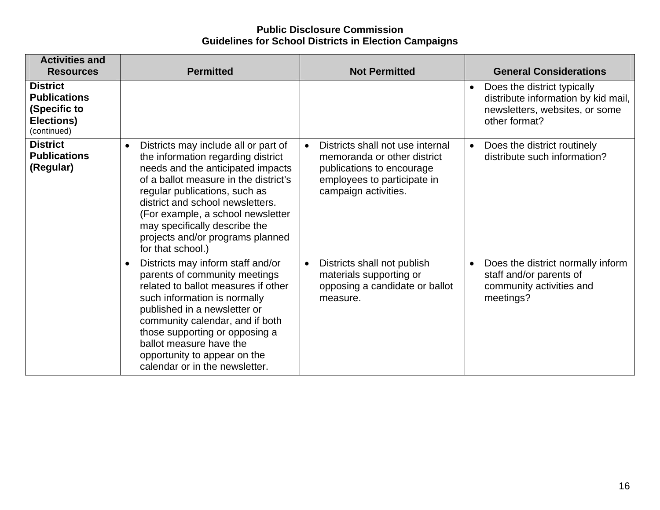| <b>Activities and</b><br><b>Resources</b>                                           | <b>Permitted</b>                                                                                                                                                                                                                                                                                                                                                          | <b>Not Permitted</b>                                                                                                                                             | <b>General Considerations</b>                                                                                                      |
|-------------------------------------------------------------------------------------|---------------------------------------------------------------------------------------------------------------------------------------------------------------------------------------------------------------------------------------------------------------------------------------------------------------------------------------------------------------------------|------------------------------------------------------------------------------------------------------------------------------------------------------------------|------------------------------------------------------------------------------------------------------------------------------------|
| <b>District</b><br><b>Publications</b><br>(Specific to<br>Elections)<br>(continued) |                                                                                                                                                                                                                                                                                                                                                                           |                                                                                                                                                                  | Does the district typically<br>$\bullet$<br>distribute information by kid mail,<br>newsletters, websites, or some<br>other format? |
| <b>District</b><br><b>Publications</b><br>(Regular)                                 | Districts may include all or part of<br>$\bullet$<br>the information regarding district<br>needs and the anticipated impacts<br>of a ballot measure in the district's<br>regular publications, such as<br>district and school newsletters.<br>(For example, a school newsletter<br>may specifically describe the<br>projects and/or programs planned<br>for that school.) | Districts shall not use internal<br>$\bullet$<br>memoranda or other district<br>publications to encourage<br>employees to participate in<br>campaign activities. | Does the district routinely<br>$\bullet$<br>distribute such information?                                                           |
|                                                                                     | Districts may inform staff and/or<br>$\bullet$<br>parents of community meetings<br>related to ballot measures if other<br>such information is normally<br>published in a newsletter or<br>community calendar, and if both<br>those supporting or opposing a<br>ballot measure have the<br>opportunity to appear on the<br>calendar or in the newsletter.                  | Districts shall not publish<br>$\bullet$<br>materials supporting or<br>opposing a candidate or ballot<br>measure.                                                | Does the district normally inform<br>staff and/or parents of<br>community activities and<br>meetings?                              |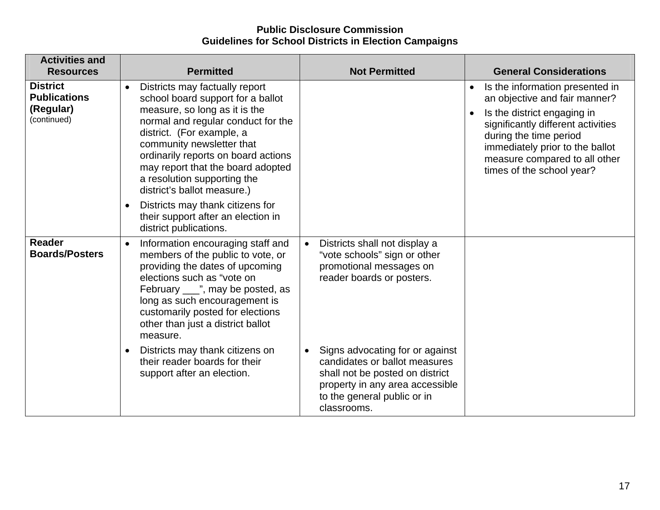| <b>Activities and</b>                                              |                                                                                                                                                                                                                                                                                                                                                             |                                                                                                                                                                                                   |                                                                                                                                                                                                                                                                               |
|--------------------------------------------------------------------|-------------------------------------------------------------------------------------------------------------------------------------------------------------------------------------------------------------------------------------------------------------------------------------------------------------------------------------------------------------|---------------------------------------------------------------------------------------------------------------------------------------------------------------------------------------------------|-------------------------------------------------------------------------------------------------------------------------------------------------------------------------------------------------------------------------------------------------------------------------------|
| <b>Resources</b>                                                   | <b>Permitted</b>                                                                                                                                                                                                                                                                                                                                            | <b>Not Permitted</b>                                                                                                                                                                              | <b>General Considerations</b>                                                                                                                                                                                                                                                 |
| <b>District</b><br><b>Publications</b><br>(Regular)<br>(continued) | Districts may factually report<br>$\bullet$<br>school board support for a ballot<br>measure, so long as it is the<br>normal and regular conduct for the<br>district. (For example, a<br>community newsletter that<br>ordinarily reports on board actions<br>may report that the board adopted<br>a resolution supporting the<br>district's ballot measure.) |                                                                                                                                                                                                   | Is the information presented in<br>$\bullet$<br>an objective and fair manner?<br>Is the district engaging in<br>significantly different activities<br>during the time period<br>immediately prior to the ballot<br>measure compared to all other<br>times of the school year? |
|                                                                    | Districts may thank citizens for<br>$\bullet$<br>their support after an election in<br>district publications.                                                                                                                                                                                                                                               |                                                                                                                                                                                                   |                                                                                                                                                                                                                                                                               |
| <b>Reader</b><br><b>Boards/Posters</b>                             | Information encouraging staff and<br>$\bullet$<br>members of the public to vote, or<br>providing the dates of upcoming<br>elections such as "vote on<br>February ___", may be posted, as<br>long as such encouragement is<br>customarily posted for elections<br>other than just a district ballot<br>measure.                                              | Districts shall not display a<br>$\bullet$<br>"vote schools" sign or other<br>promotional messages on<br>reader boards or posters.                                                                |                                                                                                                                                                                                                                                                               |
|                                                                    | Districts may thank citizens on<br>$\bullet$<br>their reader boards for their<br>support after an election.                                                                                                                                                                                                                                                 | Signs advocating for or against<br>$\bullet$<br>candidates or ballot measures<br>shall not be posted on district<br>property in any area accessible<br>to the general public or in<br>classrooms. |                                                                                                                                                                                                                                                                               |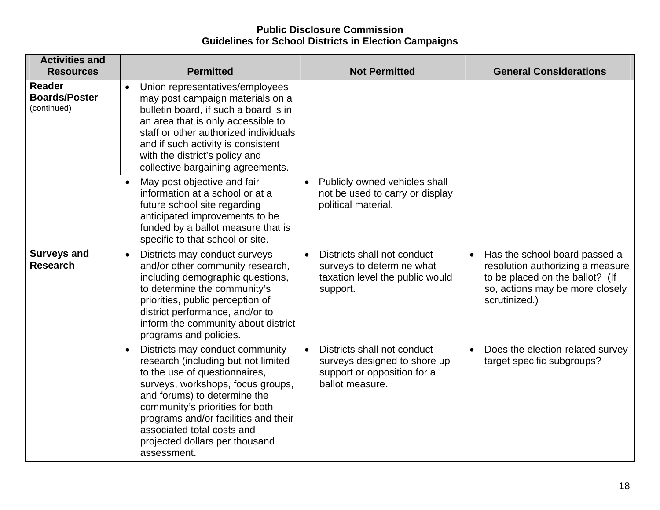| <b>Activities and</b><br><b>Resources</b>            | <b>Permitted</b>                                                                                                                                                                                                                                                                                                                                                                                                                                                                                                                                 | <b>Not Permitted</b>                                                                                                       | <b>General Considerations</b>                                                                                                                                         |
|------------------------------------------------------|--------------------------------------------------------------------------------------------------------------------------------------------------------------------------------------------------------------------------------------------------------------------------------------------------------------------------------------------------------------------------------------------------------------------------------------------------------------------------------------------------------------------------------------------------|----------------------------------------------------------------------------------------------------------------------------|-----------------------------------------------------------------------------------------------------------------------------------------------------------------------|
| <b>Reader</b><br><b>Boards/Poster</b><br>(continued) | Union representatives/employees<br>$\bullet$<br>may post campaign materials on a<br>bulletin board, if such a board is in<br>an area that is only accessible to<br>staff or other authorized individuals<br>and if such activity is consistent<br>with the district's policy and<br>collective bargaining agreements.<br>May post objective and fair<br>$\bullet$<br>information at a school or at a<br>future school site regarding<br>anticipated improvements to be<br>funded by a ballot measure that is<br>specific to that school or site. | Publicly owned vehicles shall<br>$\bullet$<br>not be used to carry or display<br>political material.                       |                                                                                                                                                                       |
| <b>Surveys and</b><br><b>Research</b>                | Districts may conduct surveys<br>$\bullet$<br>and/or other community research,<br>including demographic questions,<br>to determine the community's<br>priorities, public perception of<br>district performance, and/or to<br>inform the community about district<br>programs and policies.                                                                                                                                                                                                                                                       | Districts shall not conduct<br>$\bullet$<br>surveys to determine what<br>taxation level the public would<br>support.       | Has the school board passed a<br>$\bullet$<br>resolution authorizing a measure<br>to be placed on the ballot? (If<br>so, actions may be more closely<br>scrutinized.) |
|                                                      | Districts may conduct community<br>$\bullet$<br>research (including but not limited<br>to the use of questionnaires,<br>surveys, workshops, focus groups,<br>and forums) to determine the<br>community's priorities for both<br>programs and/or facilities and their<br>associated total costs and<br>projected dollars per thousand<br>assessment.                                                                                                                                                                                              | Districts shall not conduct<br>$\bullet$<br>surveys designed to shore up<br>support or opposition for a<br>ballot measure. | Does the election-related survey<br>target specific subgroups?                                                                                                        |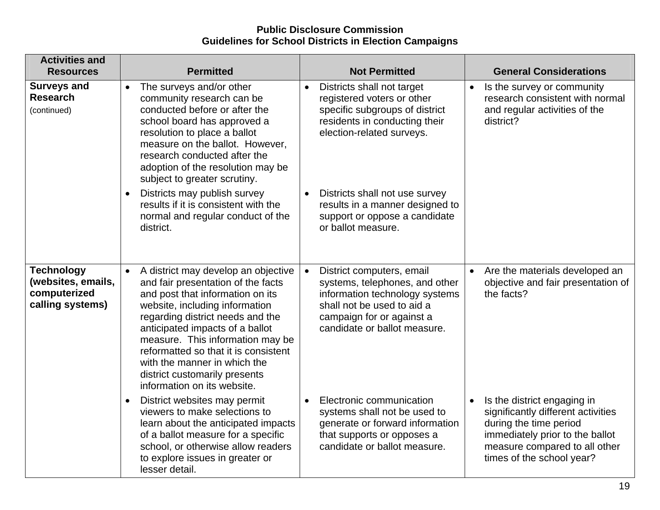| <b>Activities and</b><br><b>Resources</b>                                   | <b>Permitted</b>                                                                                                                                                                                                                                                                                                                                                                                                | <b>Not Permitted</b>                                                                                                                                                                                  | <b>General Considerations</b>                                                                                                                                                                             |
|-----------------------------------------------------------------------------|-----------------------------------------------------------------------------------------------------------------------------------------------------------------------------------------------------------------------------------------------------------------------------------------------------------------------------------------------------------------------------------------------------------------|-------------------------------------------------------------------------------------------------------------------------------------------------------------------------------------------------------|-----------------------------------------------------------------------------------------------------------------------------------------------------------------------------------------------------------|
| <b>Surveys and</b><br><b>Research</b><br>(continued)                        | The surveys and/or other<br>$\bullet$<br>community research can be<br>conducted before or after the<br>school board has approved a<br>resolution to place a ballot<br>measure on the ballot. However,<br>research conducted after the<br>adoption of the resolution may be<br>subject to greater scrutiny.                                                                                                      | Districts shall not target<br>$\bullet$<br>registered voters or other<br>specific subgroups of district<br>residents in conducting their<br>election-related surveys.                                 | • Is the survey or community<br>research consistent with normal<br>and regular activities of the<br>district?                                                                                             |
|                                                                             | Districts may publish survey<br>$\bullet$<br>results if it is consistent with the<br>normal and regular conduct of the<br>district.                                                                                                                                                                                                                                                                             | Districts shall not use survey<br>$\bullet$<br>results in a manner designed to<br>support or oppose a candidate<br>or ballot measure.                                                                 |                                                                                                                                                                                                           |
| <b>Technology</b><br>(websites, emails,<br>computerized<br>calling systems) | A district may develop an objective<br>$\bullet$<br>and fair presentation of the facts<br>and post that information on its<br>website, including information<br>regarding district needs and the<br>anticipated impacts of a ballot<br>measure. This information may be<br>reformatted so that it is consistent<br>with the manner in which the<br>district customarily presents<br>information on its website. | District computers, email<br>$\bullet$<br>systems, telephones, and other<br>information technology systems<br>shall not be used to aid a<br>campaign for or against a<br>candidate or ballot measure. | Are the materials developed an<br>$\bullet$<br>objective and fair presentation of<br>the facts?                                                                                                           |
|                                                                             | District websites may permit<br>$\bullet$<br>viewers to make selections to<br>learn about the anticipated impacts<br>of a ballot measure for a specific<br>school, or otherwise allow readers<br>to explore issues in greater or<br>lesser detail.                                                                                                                                                              | Electronic communication<br>$\bullet$<br>systems shall not be used to<br>generate or forward information<br>that supports or opposes a<br>candidate or ballot measure.                                | Is the district engaging in<br>$\bullet$<br>significantly different activities<br>during the time period<br>immediately prior to the ballot<br>measure compared to all other<br>times of the school year? |